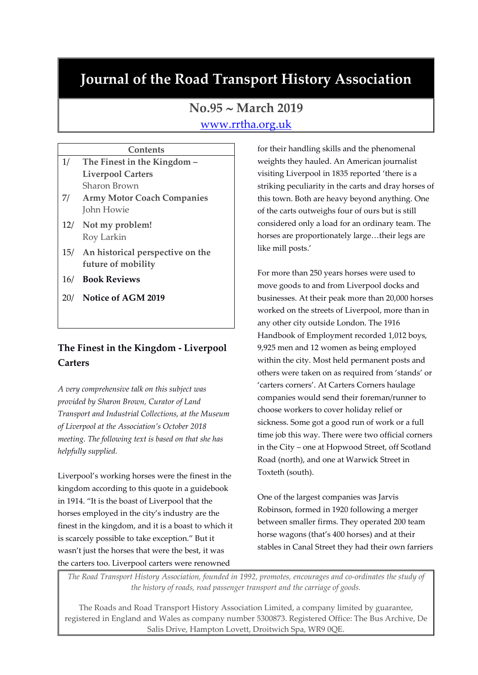# **Journal of the Road Transport History Association**

## **No.95 March 2019**

## [www.rrtha.org.uk](http://www.rrtha.org.uk/)

### **Contents** 1/ **The Finest in the Kingdom – Liverpool Carters**

- Sharon Brown 7/ **Army Motor Coach Companies** John Howie
- 12/ **Not my problem!** Roy Larkin
- 15/ **An historical perspective on the future of mobility**
- 16/ **Book Reviews**
- 20/ **Notice of AGM 2019**

## **The Finest in the Kingdom - Liverpool Carters**

*A very comprehensive talk on this subject was provided by Sharon Brown, Curator of Land Transport and Industrial Collections, at the Museum of Liverpool at the Association's October 2018 meeting. The following text is based on that she has helpfully supplied.*

Liverpool's working horses were the finest in the kingdom according to this quote in a guidebook in 1914. "It is the boast of Liverpool that the horses employed in the city's industry are the finest in the kingdom, and it is a boast to which it is scarcely possible to take exception." But it wasn't just the horses that were the best, it was the carters too. Liverpool carters were renowned

for their handling skills and the phenomenal weights they hauled. An American journalist visiting Liverpool in 1835 reported 'there is a striking peculiarity in the carts and dray horses of this town. Both are heavy beyond anything. One of the carts outweighs four of ours but is still considered only a load for an ordinary team. The horses are proportionately large…their legs are like mill posts.'

For more than 250 years horses were used to move goods to and from Liverpool docks and businesses. At their peak more than 20,000 horses worked on the streets of Liverpool, more than in any other city outside London. The 1916 Handbook of Employment recorded 1,012 boys, 9,925 men and 12 women as being employed within the city. Most held permanent posts and others were taken on as required from 'stands' or 'carters corners'. At Carters Corners haulage companies would send their foreman/runner to choose workers to cover holiday relief or sickness. Some got a good run of work or a full time job this way. There were two official corners in the City – one at Hopwood Street, off Scotland Road (north), and one at Warwick Street in Toxteth (south).

One of the largest companies was Jarvis Robinson, formed in 1920 following a merger between smaller firms. They operated 200 team horse wagons (that's 400 horses) and at their stables in Canal Street they had their own farriers

*The Road Transport History Association, founded in 1992, promotes, encourages and co-ordinates the study of the history of roads, road passenger transport and the carriage of goods.*

The Roads and Road Transport History Association Limited, a company limited by guarantee, registered in England and Wales as company number 5300873. Registered Office: The Bus Archive, De Salis Drive, Hampton Lovett, Droitwich Spa, WR9 0QE.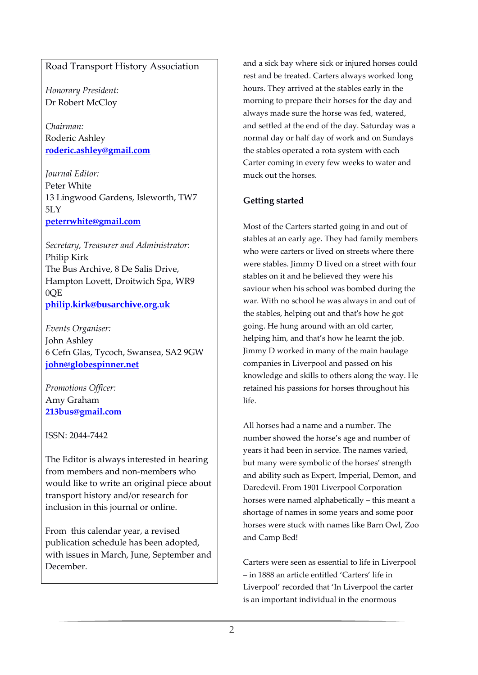## Road Transport History Association

*Honorary President:* Dr Robert McCloy

*Chairman:* Roderic Ashley **[roderic.ashley@gmail.com](mailto:roderic.ashley@gmail.com)**

*Journal Editor:* Peter White 13 Lingwood Gardens, Isleworth, TW7 5LY **[peterrwhite@gmail.com](mailto:peterrwhite@gmail.com)**

*Secretary, Treasurer and Administrator:* Philip Kirk The Bus Archive, 8 De Salis Drive, Hampton Lovett, Droitwich Spa, WR9 0QE **philip.kirk@b[usarchive](mailto:philip.kirk@busarchive.org.uk).org.uk**

*Events Organiser:* John Ashley 6 Cefn Glas, Tycoch, Swansea, SA2 9GW **[john@globespinner.net](mailto:john@globespinner.net)**

*Promotions Officer:* Amy Graham **[213bus@gmail.com](mailto:213bus@gmail.com)**

ISSN: 2044-7442

The Editor is always interested in hearing from members and non-members who would like to write an original piece about transport history and/or research for inclusion in this journal or online.

From this calendar year, a revised publication schedule has been adopted, with issues in March, June, September and December.

and a sick bay where sick or injured horses could rest and be treated. Carters always worked long hours. They arrived at the stables early in the morning to prepare their horses for the day and always made sure the horse was fed, watered, and settled at the end of the day. Saturday was a normal day or half day of work and on Sundays the stables operated a rota system with each Carter coming in every few weeks to water and muck out the horses.

## **Getting started**

Most of the Carters started going in and out of stables at an early age. They had family members who were carters or lived on streets where there were stables. Jimmy D lived on a street with four stables on it and he believed they were his saviour when his school was bombed during the war. With no school he was always in and out of the stables, helping out and that's how he got going. He hung around with an old carter, helping him, and that's how he learnt the job. Jimmy D worked in many of the main haulage companies in Liverpool and passed on his knowledge and skills to others along the way. He retained his passions for horses throughout his life.

All horses had a name and a number. The number showed the horse's age and number of years it had been in service. The names varied, but many were symbolic of the horses' strength and ability such as Expert, Imperial, Demon, and Daredevil. From 1901 Liverpool Corporation horses were named alphabetically – this meant a shortage of names in some years and some poor horses were stuck with names like Barn Owl, Zoo and Camp Bed!

Carters were seen as essential to life in Liverpool – in 1888 an article entitled 'Carters' life in Liverpool' recorded that 'In Liverpool the carter is an important individual in the enormous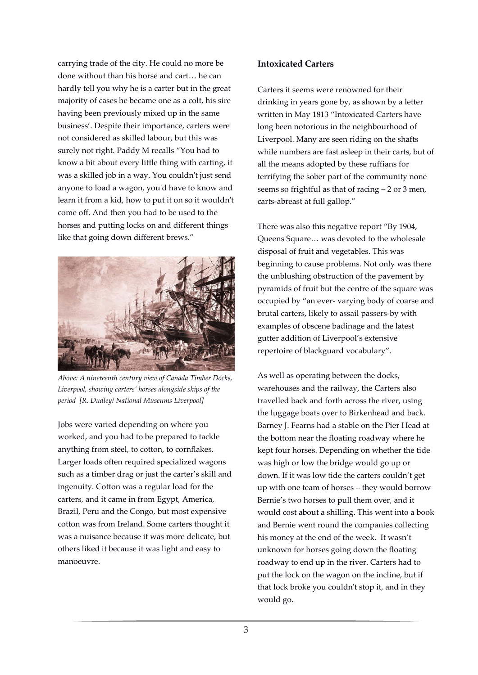carrying trade of the city. He could no more be done without than his horse and cart… he can hardly tell you why he is a carter but in the great majority of cases he became one as a colt, his sire having been previously mixed up in the same business'. Despite their importance, carters were not considered as skilled labour, but this was surely not right. Paddy M recalls "You had to know a bit about every little thing with carting, it was a skilled job in a way. You couldn't just send anyone to load a wagon, you'd have to know and learn it from a kid, how to put it on so it wouldn't come off. And then you had to be used to the horses and putting locks on and different things like that going down different brews."



*Above: A nineteenth century view of Canada Timber Docks, Liverpool, showing carters' horses alongside ships of the period [R. Dudley/ National Museums Liverpool]*

Jobs were varied depending on where you worked, and you had to be prepared to tackle anything from steel, to cotton, to cornflakes. Larger loads often required specialized wagons such as a timber drag or just the carter's skill and ingenuity. Cotton was a regular load for the carters, and it came in from Egypt, America, Brazil, Peru and the Congo, but most expensive cotton was from Ireland. Some carters thought it was a nuisance because it was more delicate, but others liked it because it was light and easy to manoeuvre.

### **Intoxicated Carters**

Carters it seems were renowned for their drinking in years gone by, as shown by a letter written in May 1813 "Intoxicated Carters have long been notorious in the neighbourhood of Liverpool. Many are seen riding on the shafts while numbers are fast asleep in their carts, but of all the means adopted by these ruffians for terrifying the sober part of the community none seems so frightful as that of racing – 2 or 3 men, carts-abreast at full gallop."

There was also this negative report "By 1904, Queens Square… was devoted to the wholesale disposal of fruit and vegetables. This was beginning to cause problems. Not only was there the unblushing obstruction of the pavement by pyramids of fruit but the centre of the square was occupied by "an ever- varying body of coarse and brutal carters, likely to assail passers-by with examples of obscene badinage and the latest gutter addition of Liverpool's extensive repertoire of blackguard vocabulary".

As well as operating between the docks, warehouses and the railway, the Carters also travelled back and forth across the river, using the luggage boats over to Birkenhead and back. Barney J. Fearns had a stable on the Pier Head at the bottom near the floating roadway where he kept four horses. Depending on whether the tide was high or low the bridge would go up or down. If it was low tide the carters couldn't get up with one team of horses – they would borrow Bernie's two horses to pull them over, and it would cost about a shilling. This went into a book and Bernie went round the companies collecting his money at the end of the week. It wasn't unknown for horses going down the floating roadway to end up in the river. Carters had to put the lock on the wagon on the incline, but if that lock broke you couldn't stop it, and in they would go.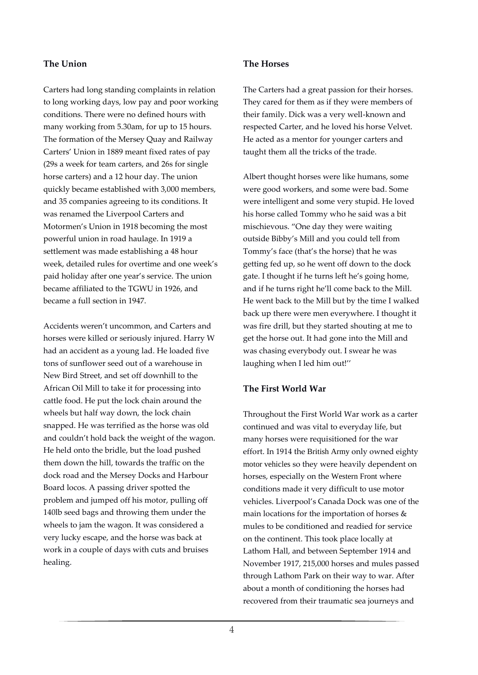#### **The Union**

Carters had long standing complaints in relation to long working days, low pay and poor working conditions. There were no defined hours with many working from 5.30am, for up to 15 hours. The formation of the Mersey Quay and Railway Carters' Union in 1889 meant fixed rates of pay (29s a week for team carters, and 26s for single horse carters) and a 12 hour day. The union quickly became established with 3,000 members, and 35 companies agreeing to its conditions. It was renamed the Liverpool Carters and Motormen's Union in 1918 becoming the most powerful union in road haulage. In 1919 a settlement was made establishing a 48 hour week, detailed rules for overtime and one week's paid holiday after one year's service. The union became affiliated to the TGWU in 1926, and became a full section in 1947.

Accidents weren't uncommon, and Carters and horses were killed or seriously injured. Harry W had an accident as a young lad. He loaded five tons of sunflower seed out of a warehouse in New Bird Street, and set off downhill to the African Oil Mill to take it for processing into cattle food. He put the lock chain around the wheels but half way down, the lock chain snapped. He was terrified as the horse was old and couldn't hold back the weight of the wagon. He held onto the bridle, but the load pushed them down the hill, towards the traffic on the dock road and the Mersey Docks and Harbour Board locos. A passing driver spotted the problem and jumped off his motor, pulling off 140lb seed bags and throwing them under the wheels to jam the wagon. It was considered a very lucky escape, and the horse was back at work in a couple of days with cuts and bruises healing.

#### **The Horses**

The Carters had a great passion for their horses. They cared for them as if they were members of their family. Dick was a very well-known and respected Carter, and he loved his horse Velvet. He acted as a mentor for younger carters and taught them all the tricks of the trade.

Albert thought horses were like humans, some were good workers, and some were bad. Some were intelligent and some very stupid. He loved his horse called Tommy who he said was a bit mischievous. "One day they were waiting outside Bibby's Mill and you could tell from Tommy's face (that's the horse) that he was getting fed up, so he went off down to the dock gate. I thought if he turns left he's going home, and if he turns right he'll come back to the Mill. He went back to the Mill but by the time I walked back up there were men everywhere. I thought it was fire drill, but they started shouting at me to get the horse out. It had gone into the Mill and was chasing everybody out. I swear he was laughing when I led him out!''

#### **The First World War**

Throughout the First World War work as a carter continued and was vital to everyday life, but many horses were requisitioned for the war effort. In 1914 the British Army only owned eighty motor vehicles so they were heavily dependent on horses, especially on the Western Front where conditions made it very difficult to use motor vehicles. Liverpool's Canada Dock was one of the main locations for the importation of horses & mules to be conditioned and readied for service on the continent. This took place locally at Lathom Hall, and between September 1914 and November 1917, 215,000 horses and mules passed through Lathom Park on their way to war. After about a month of conditioning the horses had recovered from their traumatic sea journeys and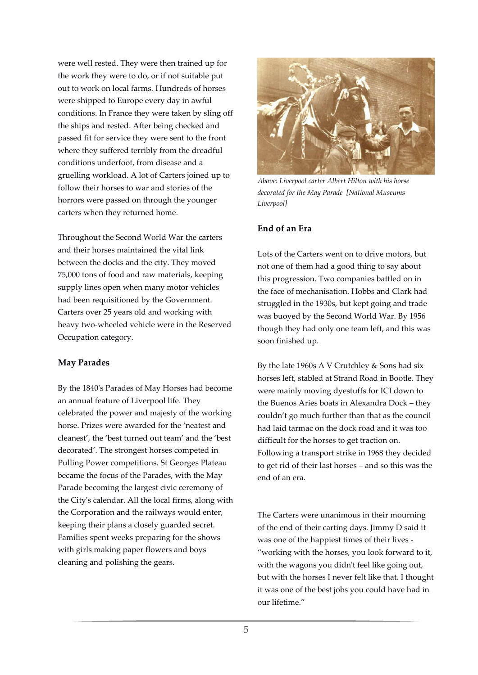were well rested. They were then trained up for the work they were to do, or if not suitable put out to work on local farms. Hundreds of horses were shipped to Europe every day in awful conditions. In France they were taken by sling off the ships and rested. After being checked and passed fit for service they were sent to the front where they suffered terribly from the dreadful conditions underfoot, from disease and a gruelling workload. A lot of Carters joined up to follow their horses to war and stories of the horrors were passed on through the younger carters when they returned home.

Throughout the Second World War the carters and their horses maintained the vital link between the docks and the city. They moved 75,000 tons of food and raw materials, keeping supply lines open when many motor vehicles had been requisitioned by the Government. Carters over 25 years old and working with heavy two-wheeled vehicle were in the Reserved Occupation category.

#### **May Parades**

By the 1840's Parades of May Horses had become an annual feature of Liverpool life. They celebrated the power and majesty of the working horse. Prizes were awarded for the 'neatest and cleanest', the 'best turned out team' and the 'best decorated'. The strongest horses competed in Pulling Power competitions. St Georges Plateau became the focus of the Parades, with the May Parade becoming the largest civic ceremony of the City's calendar. All the local firms, along with the Corporation and the railways would enter, keeping their plans a closely guarded secret. Families spent weeks preparing for the shows with girls making paper flowers and boys cleaning and polishing the gears.



*Above: Liverpool carter Albert Hilton with his horse decorated for the May Parade [National Museums Liverpool]*

#### **End of an Era**

Lots of the Carters went on to drive motors, but not one of them had a good thing to say about this progression. Two companies battled on in the face of mechanisation. Hobbs and Clark had struggled in the 1930s, but kept going and trade was buoyed by the Second World War. By 1956 though they had only one team left, and this was soon finished up.

By the late 1960s A V Crutchley & Sons had six horses left, stabled at Strand Road in Bootle. They were mainly moving dyestuffs for ICI down to the Buenos Aries boats in Alexandra Dock – they couldn't go much further than that as the council had laid tarmac on the dock road and it was too difficult for the horses to get traction on. Following a transport strike in 1968 they decided to get rid of their last horses – and so this was the end of an era.

The Carters were unanimous in their mourning of the end of their carting days. Jimmy D said it was one of the happiest times of their lives - "working with the horses, you look forward to it, with the wagons you didn't feel like going out, but with the horses I never felt like that. I thought it was one of the best jobs you could have had in our lifetime."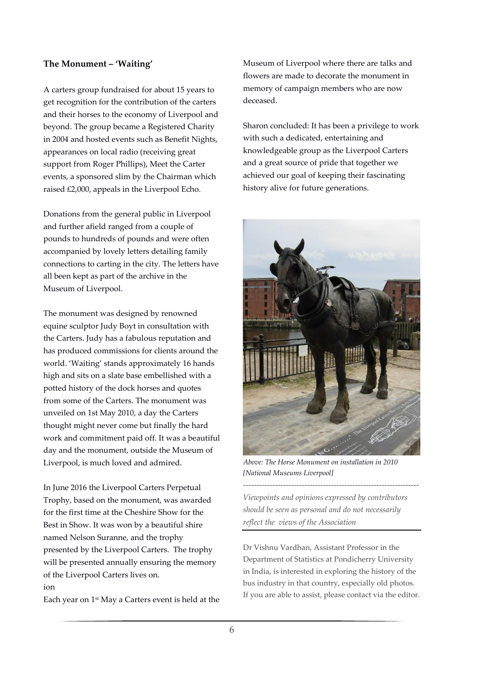#### **The Monument – 'Waiting'**

A carters group fundraised for about 15 years to get recognition for the contribution of the carters and their horses to the economy of Liverpool and beyond. The group became a Registered Charity in 2004 and hosted events such as Benefit Nights, appearances on local radio (receiving great support from Roger Phillips), Meet the Carter events, a sponsored slim by the Chairman which raised £2,000, appeals in the Liverpool Echo.

Donations from the general public in Liverpool and further afield ranged from a couple of pounds to hundreds of pounds and were often accompanied by lovely letters detailing family connections to carting in the city. The letters have all been kept as part of the archive in the Museum of Liverpool.

The monument was designed by renowned equine sculptor Judy Boyt in consultation with the Carters. Judy has a fabulous reputation and has produced commissions for clients around the world. 'Waiting' stands approximately 16 hands high and sits on a slate base embellished with a potted history of the dock horses and quotes from some of the Carters. The monument was unveiled on 1st May 2010, a day the Carters thought might never come but finally the hard work and commitment paid off. It was a beautiful day and the monument, outside the Museum of Liverpool, is much loved and admired.

In June 2016 the Liverpool Carters Perpetual Trophy, based on the monument, was awarded for the first time at the Cheshire Show for the Best in Show. It was won by a beautiful shire named Nelson Suranne, and the trophy presented by the Liverpool Carters. The trophy will be presented annually ensuring the memory of the Liverpool Carters lives on. ion

Each year on 1st May a Carters event is held at the

Museum of Liverpool where there are talks and flowers are made to decorate the monument in memory of campaign members who are now deceased.

Sharon concluded: It has been a privilege to work with such a dedicated, entertaining and knowledgeable group as the Liverpool Carters and a great source of pride that together we achieved our goal of keeping their fascinating history alive for future generations.



*Above: The Horse Monument on installation in 2010 [National Museums Liverpool]*

*Viewpoints and opinions expressed by contributors should be seen as personal and do not necessarily reflect the views of the Association*

------------------------------------------------------------------

Dr Vishnu Vardhan, Assistant Professor in the Department of Statistics at Pondicherry University in India, is interested in exploring the history of the bus industry in that country, especially old photos. If you are able to assist, please contact via the editor.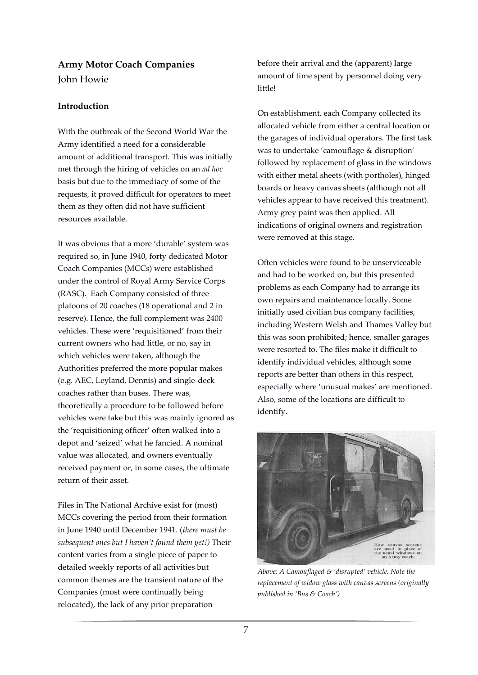### **Army Motor Coach Companies**

John Howie

#### **Introduction**

With the outbreak of the Second World War the Army identified a need for a considerable amount of additional transport. This was initially met through the hiring of vehicles on an *ad hoc* basis but due to the immediacy of some of the requests, it proved difficult for operators to meet them as they often did not have sufficient resources available.

It was obvious that a more 'durable' system was required so, in June 1940, forty dedicated Motor Coach Companies (MCCs) were established under the control of Royal Army Service Corps (RASC). Each Company consisted of three platoons of 20 coaches (18 operational and 2 in reserve). Hence, the full complement was 2400 vehicles. These were 'requisitioned' from their current owners who had little, or no, say in which vehicles were taken, although the Authorities preferred the more popular makes (e.g. AEC, Leyland, Dennis) and single-deck coaches rather than buses. There was, theoretically a procedure to be followed before vehicles were take but this was mainly ignored as the 'requisitioning officer' often walked into a depot and 'seized' what he fancied. A nominal value was allocated, and owners eventually received payment or, in some cases, the ultimate return of their asset.

Files in The National Archive exist for (most) MCCs covering the period from their formation in June 1940 until December 1941. (*there must be subsequent ones but I haven't found them yet!)* Their content varies from a single piece of paper to detailed weekly reports of all activities but common themes are the transient nature of the Companies (most were continually being relocated), the lack of any prior preparation

before their arrival and the (apparent) large amount of time spent by personnel doing very little!

On establishment, each Company collected its allocated vehicle from either a central location or the garages of individual operators. The first task was to undertake 'camouflage & disruption' followed by replacement of glass in the windows with either metal sheets (with portholes), hinged boards or heavy canvas sheets (although not all vehicles appear to have received this treatment). Army grey paint was then applied. All indications of original owners and registration were removed at this stage.

Often vehicles were found to be unserviceable and had to be worked on, but this presented problems as each Company had to arrange its own repairs and maintenance locally. Some initially used civilian bus company facilities, including Western Welsh and Thames Valley but this was soon prohibited; hence, smaller garages were resorted to. The files make it difficult to identify individual vehicles, although some reports are better than others in this respect, especially where 'unusual makes' are mentioned. Also, some of the locations are difficult to identify.



*Above: A Camouflaged & 'disrupted' vehicle. Note the replacement of widow glass with canvas screens (originally published in 'Bus & Coach')*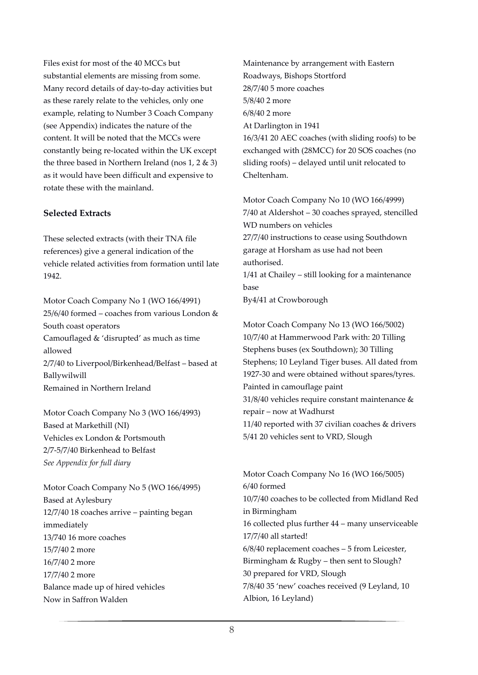Files exist for most of the 40 MCCs but substantial elements are missing from some. Many record details of day-to-day activities but as these rarely relate to the vehicles, only one example, relating to Number 3 Coach Company (see Appendix) indicates the nature of the content. It will be noted that the MCCs were constantly being re-located within the UK except the three based in Northern Ireland (nos 1, 2 & 3) as it would have been difficult and expensive to rotate these with the mainland.

#### **Selected Extracts**

These selected extracts (with their TNA file references) give a general indication of the vehicle related activities from formation until late 1942.

Motor Coach Company No 1 (WO 166/4991) 25/6/40 formed – coaches from various London & South coast operators Camouflaged & 'disrupted' as much as time allowed 2/7/40 to Liverpool/Birkenhead/Belfast – based at Ballywilwill Remained in Northern Ireland

Motor Coach Company No 3 (WO 166/4993) Based at Markethill (NI) Vehicles ex London & Portsmouth 2/7-5/7/40 Birkenhead to Belfast *See Appendix for full diary*

Motor Coach Company No 5 (WO 166/4995) Based at Aylesbury 12/7/40 18 coaches arrive – painting began immediately 13/740 16 more coaches 15/7/40 2 more 16/7/40 2 more 17/7/40 2 more Balance made up of hired vehicles Now in Saffron Walden

Maintenance by arrangement with Eastern Roadways, Bishops Stortford 28/7/40 5 more coaches 5/8/40 2 more 6/8/40 2 more At Darlington in 1941 16/3/41 20 AEC coaches (with sliding roofs) to be exchanged with (28MCC) for 20 SOS coaches (no sliding roofs) – delayed until unit relocated to Cheltenham.

Motor Coach Company No 10 (WO 166/4999) 7/40 at Aldershot – 30 coaches sprayed, stencilled WD numbers on vehicles 27/7/40 instructions to cease using Southdown garage at Horsham as use had not been authorised. 1/41 at Chailey – still looking for a maintenance base By4/41 at Crowborough

Motor Coach Company No 13 (WO 166/5002) 10/7/40 at Hammerwood Park with: 20 Tilling Stephens buses (ex Southdown); 30 Tilling Stephens; 10 Leyland Tiger buses. All dated from 1927-30 and were obtained without spares/tyres. Painted in camouflage paint 31/8/40 vehicles require constant maintenance & repair – now at Wadhurst 11/40 reported with 37 civilian coaches & drivers 5/41 20 vehicles sent to VRD, Slough

Motor Coach Company No 16 (WO 166/5005) 6/40 formed 10/7/40 coaches to be collected from Midland Red in Birmingham 16 collected plus further 44 – many unserviceable 17/7/40 all started! 6/8/40 replacement coaches – 5 from Leicester, Birmingham & Rugby – then sent to Slough? 30 prepared for VRD, Slough 7/8/40 35 'new' coaches received (9 Leyland, 10 Albion, 16 Leyland)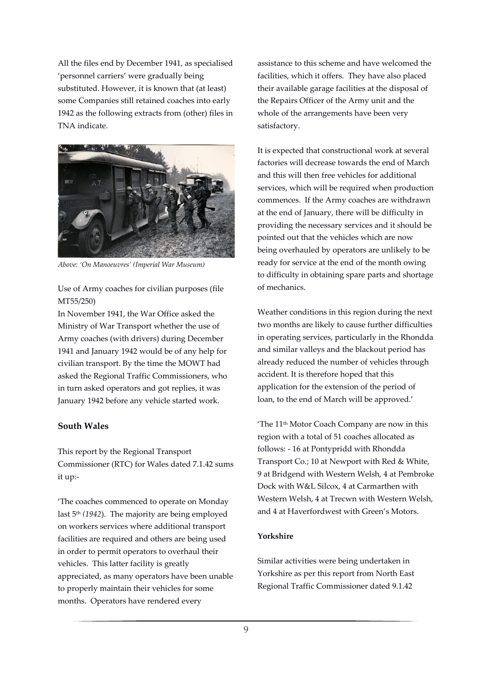All the files end by December 1941, as specialised 'personnel carriers' were gradually being substituted. However, it is known that (at least) some Companies still retained coaches into early 1942 as the following extracts from (other) files in TNA indicate.



*Above: 'On Manoeuvres' (Imperial War Museum)*

Use of Army coaches for civilian purposes (file MT55/250)

In November 1941, the War Office asked the Ministry of War Transport whether the use of Army coaches (with drivers) during December 1941 and January 1942 would be of any help for civilian transport. By the time the MOWT had asked the Regional Traffic Commissioners, who in turn asked operators and got replies, it was January 1942 before any vehicle started work.

#### **South Wales**

This report by the Regional Transport Commissioner (RTC) for Wales dated 7.1.42 sums it up:-

'The coaches commenced to operate on Monday last 5th *(1942*). The majority are being employed on workers services where additional transport facilities are required and others are being used in order to permit operators to overhaul their vehicles. This latter facility is greatly appreciated, as many operators have been unable to properly maintain their vehicles for some months. Operators have rendered every

assistance to this scheme and have welcomed the facilities, which it offers. They have also placed their available garage facilities at the disposal of the Repairs Officer of the Army unit and the whole of the arrangements have been very satisfactory.

It is expected that constructional work at several factories will decrease towards the end of March and this will then free vehicles for additional services, which will be required when production commences. If the Army coaches are withdrawn at the end of January, there will be difficulty in providing the necessary services and it should be pointed out that the vehicles which are now being overhauled by operators are unlikely to be ready for service at the end of the month owing to difficulty in obtaining spare parts and shortage of mechanics.

Weather conditions in this region during the next two months are likely to cause further difficulties in operating services, particularly in the Rhondda and similar valleys and the blackout period has already reduced the number of vehicles through accident. It is therefore hoped that this application for the extension of the period of loan, to the end of March will be approved.'

'The 11th Motor Coach Company are now in this region with a total of 51 coaches allocated as follows: - 16 at Pontypridd with Rhondda Transport Co.; 10 at Newport with Red & White, 9 at Bridgend with Western Welsh, 4 at Pembroke Dock with W&L Silcox, 4 at Carmarthen with Western Welsh, 4 at Trecwn with Western Welsh, and 4 at Haverfordwest with Green's Motors.

#### **Yorkshire**

Similar activities were being undertaken in Yorkshire as per this report from North East Regional Traffic Commissioner dated 9.1.42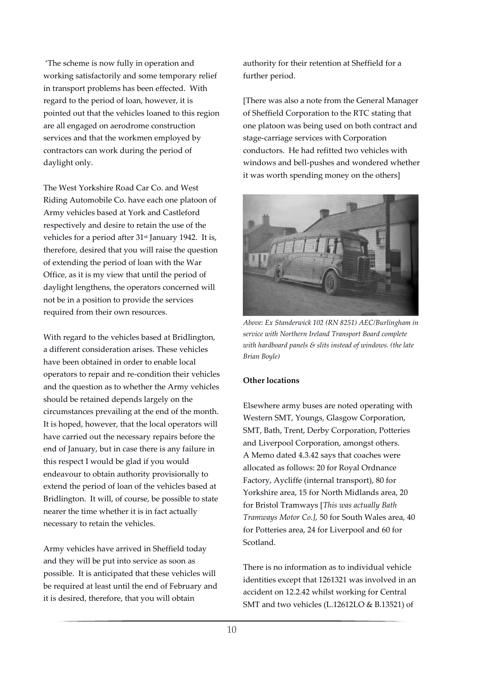'The scheme is now fully in operation and working satisfactorily and some temporary relief in transport problems has been effected. With regard to the period of loan, however, it is pointed out that the vehicles loaned to this region are all engaged on aerodrome construction services and that the workmen employed by contractors can work during the period of daylight only.

The West Yorkshire Road Car Co. and West Riding Automobile Co. have each one platoon of Army vehicles based at York and Castleford respectively and desire to retain the use of the vehicles for a period after 31<sup>st</sup> January 1942. It is, therefore, desired that you will raise the question of extending the period of loan with the War Office, as it is my view that until the period of daylight lengthens, the operators concerned will not be in a position to provide the services required from their own resources.

With regard to the vehicles based at Bridlington, a different consideration arises. These vehicles have been obtained in order to enable local operators to repair and re-condition their vehicles and the question as to whether the Army vehicles should be retained depends largely on the circumstances prevailing at the end of the month. It is hoped, however, that the local operators will have carried out the necessary repairs before the end of January, but in case there is any failure in this respect I would be glad if you would endeavour to obtain authority provisionally to extend the period of loan of the vehicles based at Bridlington. It will, of course, be possible to state nearer the time whether it is in fact actually necessary to retain the vehicles.

Army vehicles have arrived in Sheffield today and they will be put into service as soon as possible. It is anticipated that these vehicles will be required at least until the end of February and it is desired, therefore, that you will obtain

authority for their retention at Sheffield for a further period.

[There was also a note from the General Manager of Sheffield Corporation to the RTC stating that one platoon was being used on both contract and stage-carriage services with Corporation conductors. He had refitted two vehicles with windows and bell-pushes and wondered whether it was worth spending money on the others]



*Above: Ex Standerwick 102 (RN 8251) AEC/Burlingham in service with Northern Ireland Transport Board complete with hardboard panels & slits instead of windows. (the late Brian Boyle)*

#### **Other locations**

Elsewhere army buses are noted operating with Western SMT, Youngs, Glasgow Corporation, SMT, Bath, Trent, Derby Corporation, Potteries and Liverpool Corporation, amongst others. A Memo dated 4.3.42 says that coaches were allocated as follows: 20 for Royal Ordnance Factory, Aycliffe (internal transport), 80 for Yorkshire area, 15 for North Midlands area, 20 for Bristol Tramways [*This was actually Bath Tramways Motor Co.],* 50 for South Wales area, 40 for Potteries area, 24 for Liverpool and 60 for Scotland.

There is no information as to individual vehicle identities except that 1261321 was involved in an accident on 12.2.42 whilst working for Central SMT and two vehicles (L.12612LO & B.13521) of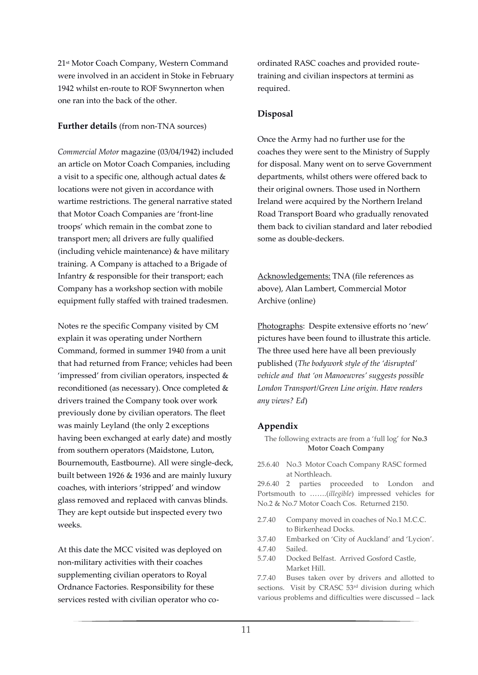21st Motor Coach Company, Western Command were involved in an accident in Stoke in February 1942 whilst en-route to ROF Swynnerton when one ran into the back of the other.

#### **Further details** (from non-TNA sources)

*Commercial Motor* magazine (03/04/1942) included an article on Motor Coach Companies, including a visit to a specific one, although actual dates & locations were not given in accordance with wartime restrictions. The general narrative stated that Motor Coach Companies are 'front-line troops' which remain in the combat zone to transport men; all drivers are fully qualified (including vehicle maintenance) & have military training. A Company is attached to a Brigade of Infantry & responsible for their transport; each Company has a workshop section with mobile equipment fully staffed with trained tradesmen.

Notes re the specific Company visited by CM explain it was operating under Northern Command, formed in summer 1940 from a unit that had returned from France; vehicles had been 'impressed' from civilian operators, inspected & reconditioned (as necessary). Once completed & drivers trained the Company took over work previously done by civilian operators. The fleet was mainly Leyland (the only 2 exceptions having been exchanged at early date) and mostly from southern operators (Maidstone, Luton, Bournemouth, Eastbourne). All were single-deck, built between 1926 & 1936 and are mainly luxury coaches, with interiors 'stripped' and window glass removed and replaced with canvas blinds. They are kept outside but inspected every two weeks.

At this date the MCC visited was deployed on non-military activities with their coaches supplementing civilian operators to Royal Ordnance Factories. Responsibility for these services rested with civilian operator who coordinated RASC coaches and provided routetraining and civilian inspectors at termini as required.

#### **Disposal**

Once the Army had no further use for the coaches they were sent to the Ministry of Supply for disposal. Many went on to serve Government departments, whilst others were offered back to their original owners. Those used in Northern Ireland were acquired by the Northern Ireland Road Transport Board who gradually renovated them back to civilian standard and later rebodied some as double-deckers.

Acknowledgements: TNA (file references as above), Alan Lambert, Commercial Motor Archive (online)

Photographs: Despite extensive efforts no 'new' pictures have been found to illustrate this article. The three used here have all been previously published (*The bodywork style of the 'disrupted' vehicle and that 'on Manoeuvres' suggests possible London Transport/Green Line origin. Have readers any views? Ed*)

### **Appendix**

The following extracts are from a 'full log' for **No.3 Motor Coach Company**

25.6.40 No.3 Motor Coach Company RASC formed at Northleach.

29.6.40 2 parties proceeded to London and Portsmouth to …….(*illegible*) impressed vehicles for No.2 & No.7 Motor Coach Cos. Returned 2150.

2.7.40 Company moved in coaches of No.1 M.C.C. to Birkenhead Docks.

3.7.40 Embarked on 'City of Auckland' and 'Lycion'.

- 4.7.40 Sailed.
- 5.7.40 Docked Belfast. Arrived Gosford Castle, Market Hill.

7.7.40 Buses taken over by drivers and allotted to sections. Visit by CRASC 53<sup>rd</sup> division during which various problems and difficulties were discussed – lack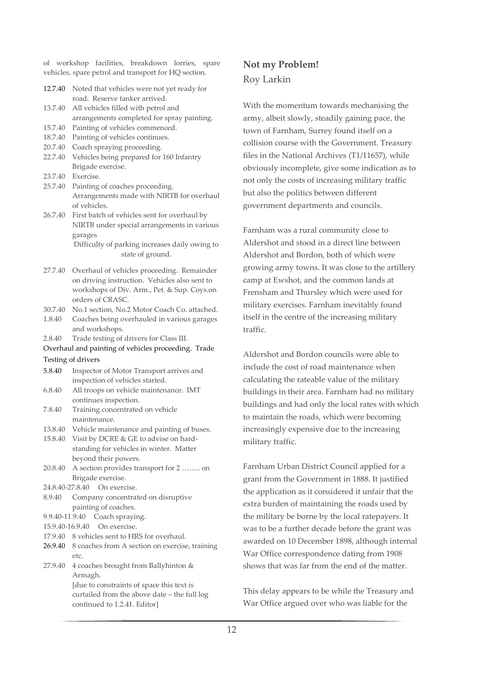of workshop facilities, breakdown lorries, spare vehicles, spare petrol and transport for HQ section.

| 12.7.40 | Noted that vehicles were not yet ready for   |
|---------|----------------------------------------------|
|         | road. Reserve tanker arrived.                |
| 13.7.40 | All vehicles filled with petrol and          |
|         | arrangements completed for spray painting.   |
| 15.7.40 | Painting of vehicles commenced.              |
| 18.7.40 | Painting of vehicles continues.              |
| 20.7.40 | Coach spraying proceeding.                   |
| 22.7.40 | Vehicles being prepared for 160 Infantry     |
|         | Brigade exercise.                            |
| 23.7.40 | Exercise.                                    |
| 25.7.40 | Painting of coaches proceeding.              |
|         | Arrangements made with NIRTB for overhaul    |
|         | of vehicles.                                 |
| 26.7.40 | First batch of vehicles sent for overhaul by |
|         | NIRTB under special arrangements in various  |
|         |                                              |

garages Difficulty of parking increases daily owing to state of ground.

- 27.7.40 Overhaul of vehicles proceeding. Remainder on driving instruction. Vehicles also sent to workshops of Div. Arm., Pet. & Sup. Coys.on orders of CRASC.
- 30.7.40 No.1 section, No.2 Motor Coach Co. attached.
- 1.8.40 Coaches being overhauled in various garages and workshops.
- 2.8.40 Trade testing of drivers for Class III.

Overhaul and painting of vehicles proceeding. Trade Testing of drivers

- 5.8.40 Inspector of Motor Transport arrives and inspection of vehicles started.
- 6.8.40 All troops on vehicle maintenance. IMT continues inspection.
- 7.8.40 Training concentrated on vehicle maintenance.
- 13.8.40 Vehicle maintenance and painting of buses.

15.8.40 Visit by DCRE & GE to advise on hardstanding for vehicles in winter. Matter beyond their powers.

20.8.40 A section provides transport for 2 …….. on Brigade exercise.

24.8.40-27.8.40 On exercise.

- 8.9.40 Company concentrated on disruptive painting of coaches.
- 9.9.40-11.9.40 Coach spraying.
- 15.9.40-16.9.40 On exercise.
- 17.9.40 8 vehicles sent to HRS for overhaul.
- 26.9.40 8 coaches from A section on exercise, training etc.
- 27.9.40 4 coaches brought from Ballyhinton & Armagh. [due to constraints of space this text is curtailed from the above date – the full log continued to 1.2.41. Editor]

## **Not my Problem!** Roy Larkin

With the momentum towards mechanising the army, albeit slowly, steadily gaining pace, the town of Farnham, Surrey found itself on a collision course with the Government. Treasury files in the National Archives (T1/11657), while obviously incomplete, give some indication as to not only the costs of increasing military traffic but also the politics between different government departments and councils.

Farnham was a rural community close to Aldershot and stood in a direct line between Aldershot and Bordon, both of which were growing army towns. It was close to the artillery camp at Ewshot, and the common lands at Frensham and Thursley which were used for military exercises. Farnham inevitably found itself in the centre of the increasing military traffic.

Aldershot and Bordon councils were able to include the cost of road maintenance when calculating the rateable value of the military buildings in their area. Farnham had no military buildings and had only the local rates with which to maintain the roads, which were becoming increasingly expensive due to the increasing military traffic.

Farnham Urban District Council applied for a grant from the Government in 1888. It justified the application as it considered it unfair that the extra burden of maintaining the roads used by the military be borne by the local ratepayers. It was to be a further decade before the grant was awarded on 10 December 1898, although internal War Office correspondence dating from 1908 shows that was far from the end of the matter.

This delay appears to be while the Treasury and War Office argued over who was liable for the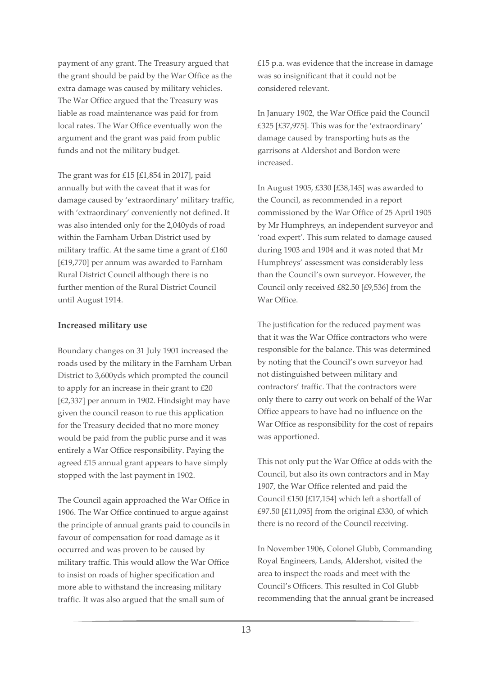payment of any grant. The Treasury argued that the grant should be paid by the War Office as the extra damage was caused by military vehicles. The War Office argued that the Treasury was liable as road maintenance was paid for from local rates. The War Office eventually won the argument and the grant was paid from public funds and not the military budget.

The grant was for £15 [£1,854 in 2017], paid annually but with the caveat that it was for damage caused by 'extraordinary' military traffic, with 'extraordinary' conveniently not defined. It was also intended only for the 2,040yds of road within the Farnham Urban District used by military traffic. At the same time a grant of £160 [£19,770] per annum was awarded to Farnham Rural District Council although there is no further mention of the Rural District Council until August 1914.

#### **Increased military use**

Boundary changes on 31 July 1901 increased the roads used by the military in the Farnham Urban District to 3,600yds which prompted the council to apply for an increase in their grant to £20 [£2,337] per annum in 1902. Hindsight may have given the council reason to rue this application for the Treasury decided that no more money would be paid from the public purse and it was entirely a War Office responsibility. Paying the agreed £15 annual grant appears to have simply stopped with the last payment in 1902.

The Council again approached the War Office in 1906. The War Office continued to argue against the principle of annual grants paid to councils in favour of compensation for road damage as it occurred and was proven to be caused by military traffic. This would allow the War Office to insist on roads of higher specification and more able to withstand the increasing military traffic. It was also argued that the small sum of

£15 p.a. was evidence that the increase in damage was so insignificant that it could not be considered relevant.

In January 1902, the War Office paid the Council £325 [£37,975]. This was for the 'extraordinary' damage caused by transporting huts as the garrisons at Aldershot and Bordon were increased.

In August 1905, £330 [£38,145] was awarded to the Council, as recommended in a report commissioned by the War Office of 25 April 1905 by Mr Humphreys, an independent surveyor and 'road expert'. This sum related to damage caused during 1903 and 1904 and it was noted that Mr Humphreys' assessment was considerably less than the Council's own surveyor. However, the Council only received £82.50 [£9,536] from the War Office.

The justification for the reduced payment was that it was the War Office contractors who were responsible for the balance. This was determined by noting that the Council's own surveyor had not distinguished between military and contractors' traffic. That the contractors were only there to carry out work on behalf of the War Office appears to have had no influence on the War Office as responsibility for the cost of repairs was apportioned.

This not only put the War Office at odds with the Council, but also its own contractors and in May 1907, the War Office relented and paid the Council £150 [£17,154] which left a shortfall of £97.50 [£11,095] from the original £330, of which there is no record of the Council receiving.

In November 1906, Colonel Glubb, Commanding Royal Engineers, Lands, Aldershot, visited the area to inspect the roads and meet with the Council's Officers. This resulted in Col Glubb recommending that the annual grant be increased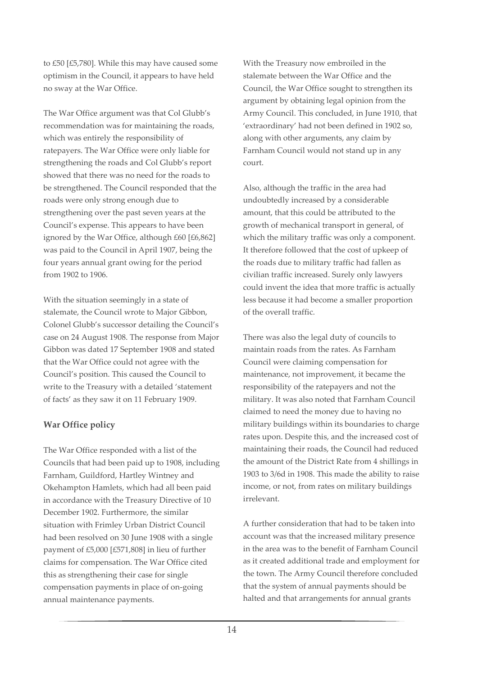to £50 [£5,780]. While this may have caused some optimism in the Council, it appears to have held no sway at the War Office.

The War Office argument was that Col Glubb's recommendation was for maintaining the roads, which was entirely the responsibility of ratepayers. The War Office were only liable for strengthening the roads and Col Glubb's report showed that there was no need for the roads to be strengthened. The Council responded that the roads were only strong enough due to strengthening over the past seven years at the Council's expense. This appears to have been ignored by the War Office, although £60 [£6,862] was paid to the Council in April 1907, being the four years annual grant owing for the period from 1902 to 1906.

With the situation seemingly in a state of stalemate, the Council wrote to Major Gibbon, Colonel Glubb's successor detailing the Council's case on 24 August 1908. The response from Major Gibbon was dated 17 September 1908 and stated that the War Office could not agree with the Council's position. This caused the Council to write to the Treasury with a detailed 'statement of facts' as they saw it on 11 February 1909.

### **War Office policy**

The War Office responded with a list of the Councils that had been paid up to 1908, including Farnham, Guildford, Hartley Wintney and Okehampton Hamlets, which had all been paid in accordance with the Treasury Directive of 10 December 1902. Furthermore, the similar situation with Frimley Urban District Council had been resolved on 30 June 1908 with a single payment of £5,000 [£571,808] in lieu of further claims for compensation. The War Office cited this as strengthening their case for single compensation payments in place of on-going annual maintenance payments.

With the Treasury now embroiled in the stalemate between the War Office and the Council, the War Office sought to strengthen its argument by obtaining legal opinion from the Army Council. This concluded, in June 1910, that 'extraordinary' had not been defined in 1902 so, along with other arguments, any claim by Farnham Council would not stand up in any court.

Also, although the traffic in the area had undoubtedly increased by a considerable amount, that this could be attributed to the growth of mechanical transport in general, of which the military traffic was only a component. It therefore followed that the cost of upkeep of the roads due to military traffic had fallen as civilian traffic increased. Surely only lawyers could invent the idea that more traffic is actually less because it had become a smaller proportion of the overall traffic.

There was also the legal duty of councils to maintain roads from the rates. As Farnham Council were claiming compensation for maintenance, not improvement, it became the responsibility of the ratepayers and not the military. It was also noted that Farnham Council claimed to need the money due to having no military buildings within its boundaries to charge rates upon. Despite this, and the increased cost of maintaining their roads, the Council had reduced the amount of the District Rate from 4 shillings in 1903 to 3/6d in 1908. This made the ability to raise income, or not, from rates on military buildings irrelevant.

A further consideration that had to be taken into account was that the increased military presence in the area was to the benefit of Farnham Council as it created additional trade and employment for the town. The Army Council therefore concluded that the system of annual payments should be halted and that arrangements for annual grants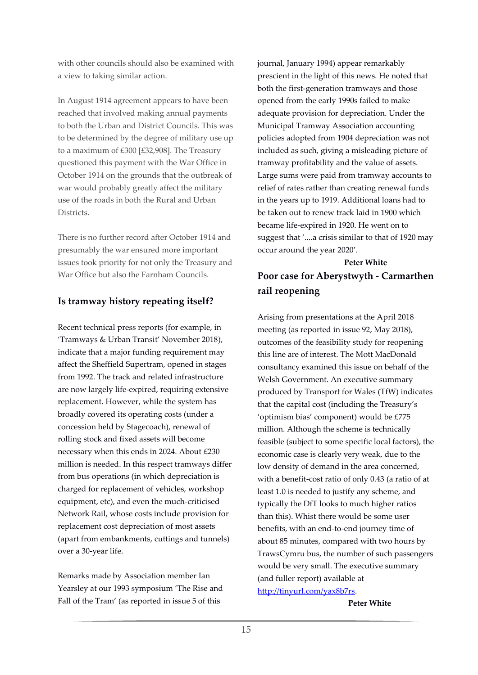with other councils should also be examined with a view to taking similar action.

In August 1914 agreement appears to have been reached that involved making annual payments to both the Urban and District Councils. This was to be determined by the degree of military use up to a maximum of £300 [£32,908]. The Treasury questioned this payment with the War Office in October 1914 on the grounds that the outbreak of war would probably greatly affect the military use of the roads in both the Rural and Urban Districts.

There is no further record after October 1914 and presumably the war ensured more important issues took priority for not only the Treasury and War Office but also the Farnham Councils.

## **Is tramway history repeating itself?**

Recent technical press reports (for example, in 'Tramways & Urban Transit' November 2018), indicate that a major funding requirement may affect the Sheffield Supertram, opened in stages from 1992. The track and related infrastructure are now largely life-expired, requiring extensive replacement. However, while the system has broadly covered its operating costs (under a concession held by Stagecoach), renewal of rolling stock and fixed assets will become necessary when this ends in 2024. About £230 million is needed. In this respect tramways differ from bus operations (in which depreciation is charged for replacement of vehicles, workshop equipment, etc), and even the much-criticised Network Rail, whose costs include provision for replacement cost depreciation of most assets (apart from embankments, cuttings and tunnels) over a 30-year life.

Remarks made by Association member Ian Yearsley at our 1993 symposium 'The Rise and Fall of the Tram' (as reported in issue 5 of this

journal, January 1994) appear remarkably prescient in the light of this news. He noted that both the first-generation tramways and those opened from the early 1990s failed to make adequate provision for depreciation. Under the Municipal Tramway Association accounting policies adopted from 1904 depreciation was not included as such, giving a misleading picture of tramway profitability and the value of assets. Large sums were paid from tramway accounts to relief of rates rather than creating renewal funds in the years up to 1919. Additional loans had to be taken out to renew track laid in 1900 which became life-expired in 1920. He went on to suggest that '....a crisis similar to that of 1920 may occur around the year 2020'.

#### **Peter White**

**Poor case for Aberystwyth - Carmarthen rail reopening** 

Arising from presentations at the April 2018 meeting (as reported in issue 92, May 2018), outcomes of the feasibility study for reopening this line are of interest. The Mott MacDonald consultancy examined this issue on behalf of the Welsh Government. An executive summary produced by Transport for Wales (TfW) indicates that the capital cost (including the Treasury's 'optimism bias' component) would be £775 million. Although the scheme is technically feasible (subject to some specific local factors), the economic case is clearly very weak, due to the low density of demand in the area concerned, with a benefit-cost ratio of only 0.43 (a ratio of at least 1.0 is needed to justify any scheme, and typically the DfT looks to much higher ratios than this). Whist there would be some user benefits, with an end-to-end journey time of about 85 minutes, compared with two hours by TrawsCymru bus, the number of such passengers would be very small. The executive summary (and fuller report) available at [http://tinyurl.com/yax8b7rs.](http://tinyurl.com/yax8b7rs)

#### **Peter White**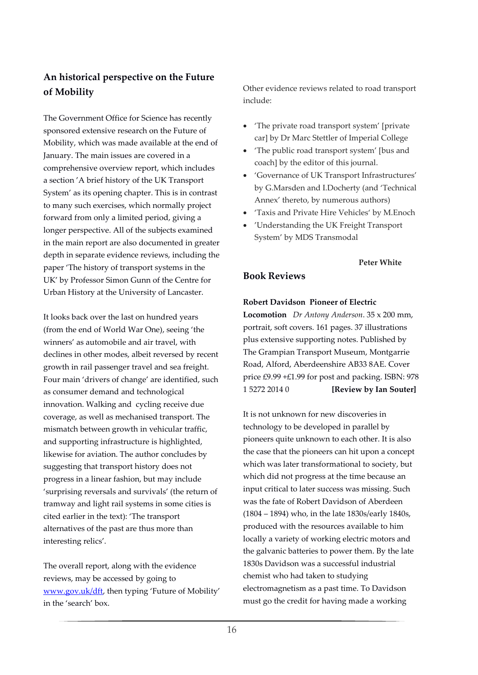## **An historical perspective on the Future of Mobility**

The Government Office for Science has recently sponsored extensive research on the Future of Mobility, which was made available at the end of January. The main issues are covered in a comprehensive overview report, which includes a section 'A brief history of the UK Transport System' as its opening chapter. This is in contrast to many such exercises, which normally project forward from only a limited period, giving a longer perspective. All of the subjects examined in the main report are also documented in greater depth in separate evidence reviews, including the paper 'The history of transport systems in the UK' by Professor Simon Gunn of the Centre for Urban History at the University of Lancaster.

It looks back over the last on hundred years (from the end of World War One), seeing 'the winners' as automobile and air travel, with declines in other modes, albeit reversed by recent growth in rail passenger travel and sea freight. Four main 'drivers of change' are identified, such as consumer demand and technological innovation. Walking and cycling receive due coverage, as well as mechanised transport. The mismatch between growth in vehicular traffic, and supporting infrastructure is highlighted, likewise for aviation. The author concludes by suggesting that transport history does not progress in a linear fashion, but may include 'surprising reversals and survivals' (the return of tramway and light rail systems in some cities is cited earlier in the text): 'The transport alternatives of the past are thus more than interesting relics'.

The overall report, along with the evidence reviews, may be accessed by going to [www.gov.uk/dft,](http://www.gov.uk/dft) then typing 'Future of Mobility' in the 'search' box.

Other evidence reviews related to road transport include:

- 'The private road transport system' [private car] by Dr Marc Stettler of Imperial College
- 'The public road transport system' [bus and coach] by the editor of this journal.
- 'Governance of UK Transport Infrastructures' by G.Marsden and I.Docherty (and 'Technical Annex' thereto, by numerous authors)
- 'Taxis and Private Hire Vehicles' by M.Enoch
- 'Understanding the UK Freight Transport System' by MDS Transmodal

#### **Peter White**

## **Book Reviews**

#### **Robert Davidson Pioneer of Electric**

**Locomotion** *Dr Antony Anderson*. 35 x 200 mm, portrait, soft covers. 161 pages. 37 illustrations plus extensive supporting notes. Published by The Grampian Transport Museum, Montgarrie Road, Alford, Aberdeenshire AB33 8AE. Cover price £9.99 +£1.99 for post and packing. ISBN: 978 1 5272 2014 0 **[Review by Ian Souter]**

It is not unknown for new discoveries in technology to be developed in parallel by pioneers quite unknown to each other. It is also the case that the pioneers can hit upon a concept which was later transformational to society, but which did not progress at the time because an input critical to later success was missing. Such was the fate of Robert Davidson of Aberdeen (1804 – 1894) who, in the late 1830s/early 1840s, produced with the resources available to him locally a variety of working electric motors and the galvanic batteries to power them. By the late 1830s Davidson was a successful industrial chemist who had taken to studying electromagnetism as a past time. To Davidson must go the credit for having made a working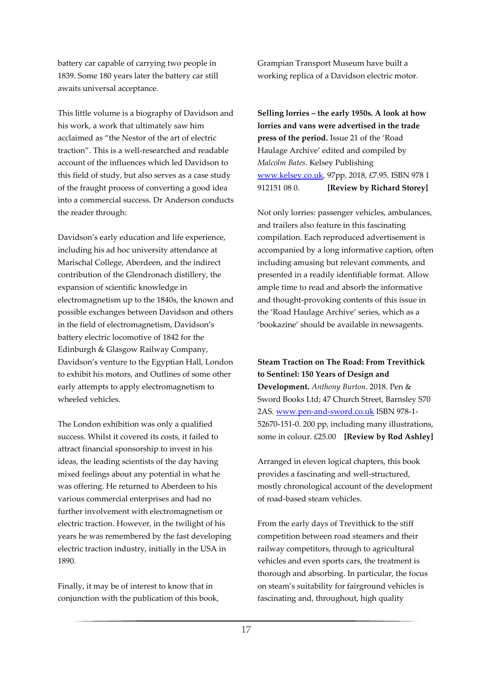battery car capable of carrying two people in 1839. Some 180 years later the battery car still awaits universal acceptance.

This little volume is a biography of Davidson and his work, a work that ultimately saw him acclaimed as "the Nestor of the art of electric traction". This is a well-researched and readable account of the influences which led Davidson to this field of study, but also serves as a case study of the fraught process of converting a good idea into a commercial success. Dr Anderson conducts the reader through:

Davidson's early education and life experience, including his ad hoc university attendance at Marischal College, Aberdeen, and the indirect contribution of the Glendronach distillery, the expansion of scientific knowledge in electromagnetism up to the 1840s, the known and possible exchanges between Davidson and others in the field of electromagnetism, Davidson's battery electric locomotive of 1842 for the Edinburgh & Glasgow Railway Company, Davidson's venture to the Egyptian Hall, London to exhibit his motors, and Outlines of some other early attempts to apply electromagnetism to wheeled vehicles.

The London exhibition was only a qualified success. Whilst it covered its costs, it failed to attract financial sponsorship to invest in his ideas, the leading scientists of the day having mixed feelings about any potential in what he was offering. He returned to Aberdeen to his various commercial enterprises and had no further involvement with electromagnetism or electric traction. However, in the twilight of his years he was remembered by the fast developing electric traction industry, initially in the USA in 1890.

Finally, it may be of interest to know that in conjunction with the publication of this book, Grampian Transport Museum have built a working replica of a Davidson electric motor.

**Selling lorries – the early 1950s. A look at how lorries and vans were advertised in the trade press of the period.** Issue 21 of the 'Road Haulage Archive' edited and compiled by *Malcolm Bates*. Kelsey Publishing [www.kelsey.co.uk,](http://www.kelsey.co.uk/) 97pp, 2018, £7.95. ISBN 978 1 912151 08 0. **[Review by Richard Storey]**

Not only lorries: passenger vehicles, ambulances, and trailers also feature in this fascinating compilation. Each reproduced advertisement is accompanied by a long informative caption, often including amusing but relevant comments, and presented in a readily identifiable format. Allow ample time to read and absorb the informative and thought-provoking contents of this issue in the 'Road Haulage Archive' series, which as a 'bookazine' should be available in newsagents.

**Steam Traction on The Road: From Trevithick to Sentinel: 150 Years of Design and Development.** *Anthony Burton*. 2018. Pen &

Sword Books Ltd; 47 Church Street, Barnsley S70 2AS. [www.pen-and-sword.co.uk](http://www.pen-and-sword.co.uk/) ISBN 978-1- 52670-151-0. 200 pp, including many illustrations, some in colour. £25.00 **[Review by Rod Ashley]**

Arranged in eleven logical chapters, this book provides a fascinating and well-structured, mostly chronological account of the development of road-based steam vehicles.

From the early days of Trevithick to the stiff competition between road steamers and their railway competitors, through to agricultural vehicles and even sports cars, the treatment is thorough and absorbing. In particular, the focus on steam's suitability for fairground vehicles is fascinating and, throughout, high quality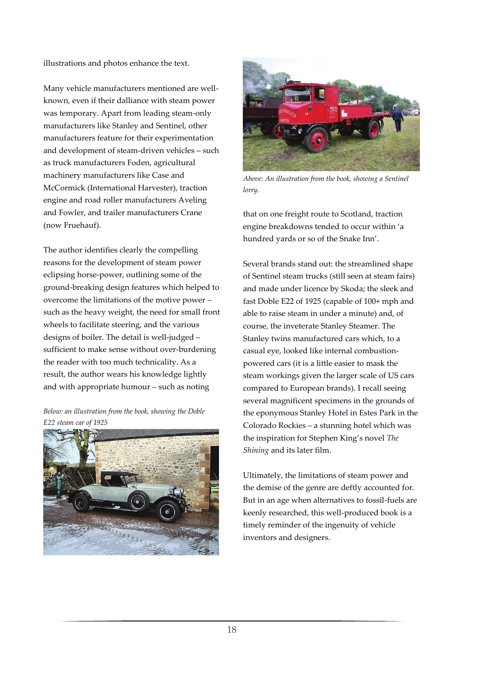illustrations and photos enhance the text.

Many vehicle manufacturers mentioned are wellknown, even if their dalliance with steam power was temporary. Apart from leading steam-only manufacturers like Stanley and Sentinel, other manufacturers feature for their experimentation and development of steam-driven vehicles – such as truck manufacturers Foden, agricultural machinery manufacturers like Case and McCormick (International Harvester), traction engine and road roller manufacturers Aveling and Fowler, and trailer manufacturers Crane (now Fruehauf).

The author identifies clearly the compelling reasons for the development of steam power eclipsing horse-power, outlining some of the ground-breaking design features which helped to overcome the limitations of the motive power – such as the heavy weight, the need for small front wheels to facilitate steering, and the various designs of boiler. The detail is well-judged – sufficient to make sense without over-burdening the reader with too much technicality. As a result, the author wears his knowledge lightly and with appropriate humour – such as noting

*Below: an illustration from the book, showing the Doble E22 steam car of 1925*





*Above: An illustration from the book, showing a Sentinel lorry.*

that on one freight route to Scotland, traction engine breakdowns tended to occur within 'a hundred yards or so of the Snake Inn'.

Several brands stand out: the streamlined shape of Sentinel steam trucks (still seen at steam fairs) and made under licence by Skoda; the sleek and fast Doble E22 of 1925 (capable of 100+ mph and able to raise steam in under a minute) and, of course, the inveterate Stanley Steamer. The Stanley twins manufactured cars which, to a casual eye, looked like internal combustionpowered cars (it is a little easier to mask the steam workings given the larger scale of US cars compared to European brands). I recall seeing several magnificent specimens in the grounds of the eponymous Stanley Hotel in Estes Park in the Colorado Rockies – a stunning hotel which was the inspiration for Stephen King's novel *The Shining* and its later film.

Ultimately, the limitations of steam power and the demise of the genre are deftly accounted for. But in an age when alternatives to fossil-fuels are keenly researched, this well-produced book is a timely reminder of the ingenuity of vehicle inventors and designers.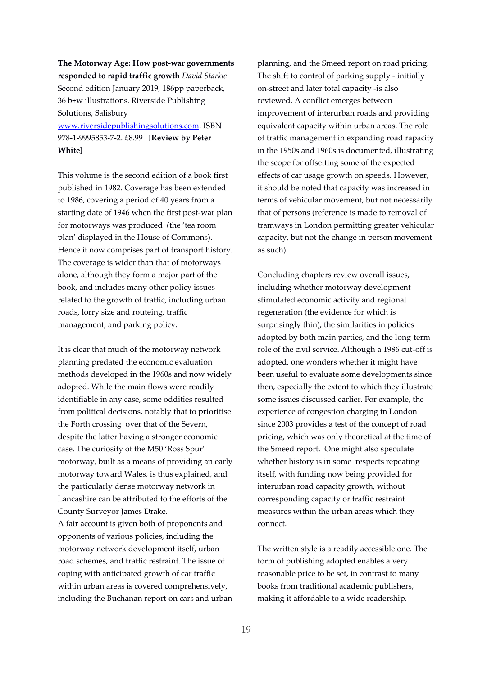**The Motorway Age: How post-war governments responded to rapid traffic growth** *David Starkie* Second edition January 2019, 186pp paperback, 36 b+w illustrations. Riverside Publishing Solutions, Salisbury

[www.riversidepublishingsolutions.com.](http://www.riversidepublishingsolutions.com/) ISBN 978-1-9995853-7-2. £8.99 **[Review by Peter White]**

This volume is the second edition of a book first published in 1982. Coverage has been extended to 1986, covering a period of 40 years from a starting date of 1946 when the first post-war plan for motorways was produced (the 'tea room plan' displayed in the House of Commons). Hence it now comprises part of transport history. The coverage is wider than that of motorways alone, although they form a major part of the book, and includes many other policy issues related to the growth of traffic, including urban roads, lorry size and routeing, traffic management, and parking policy.

It is clear that much of the motorway network planning predated the economic evaluation methods developed in the 1960s and now widely adopted. While the main flows were readily identifiable in any case, some oddities resulted from political decisions, notably that to prioritise the Forth crossing over that of the Severn, despite the latter having a stronger economic case. The curiosity of the M50 'Ross Spur' motorway, built as a means of providing an early motorway toward Wales, is thus explained, and the particularly dense motorway network in Lancashire can be attributed to the efforts of the County Surveyor James Drake.

A fair account is given both of proponents and opponents of various policies, including the motorway network development itself, urban road schemes, and traffic restraint. The issue of coping with anticipated growth of car traffic within urban areas is covered comprehensively, including the Buchanan report on cars and urban planning, and the Smeed report on road pricing. The shift to control of parking supply - initially on-street and later total capacity -is also reviewed. A conflict emerges between improvement of interurban roads and providing equivalent capacity within urban areas. The role of traffic management in expanding road rapacity in the 1950s and 1960s is documented, illustrating the scope for offsetting some of the expected effects of car usage growth on speeds. However, it should be noted that capacity was increased in terms of vehicular movement, but not necessarily that of persons (reference is made to removal of tramways in London permitting greater vehicular capacity, but not the change in person movement as such).

Concluding chapters review overall issues, including whether motorway development stimulated economic activity and regional regeneration (the evidence for which is surprisingly thin), the similarities in policies adopted by both main parties, and the long-term role of the civil service. Although a 1986 cut-off is adopted, one wonders whether it might have been useful to evaluate some developments since then, especially the extent to which they illustrate some issues discussed earlier. For example, the experience of congestion charging in London since 2003 provides a test of the concept of road pricing, which was only theoretical at the time of the Smeed report. One might also speculate whether history is in some respects repeating itself, with funding now being provided for interurban road capacity growth, without corresponding capacity or traffic restraint measures within the urban areas which they connect.

The written style is a readily accessible one. The form of publishing adopted enables a very reasonable price to be set, in contrast to many books from traditional academic publishers, making it affordable to a wide readership.